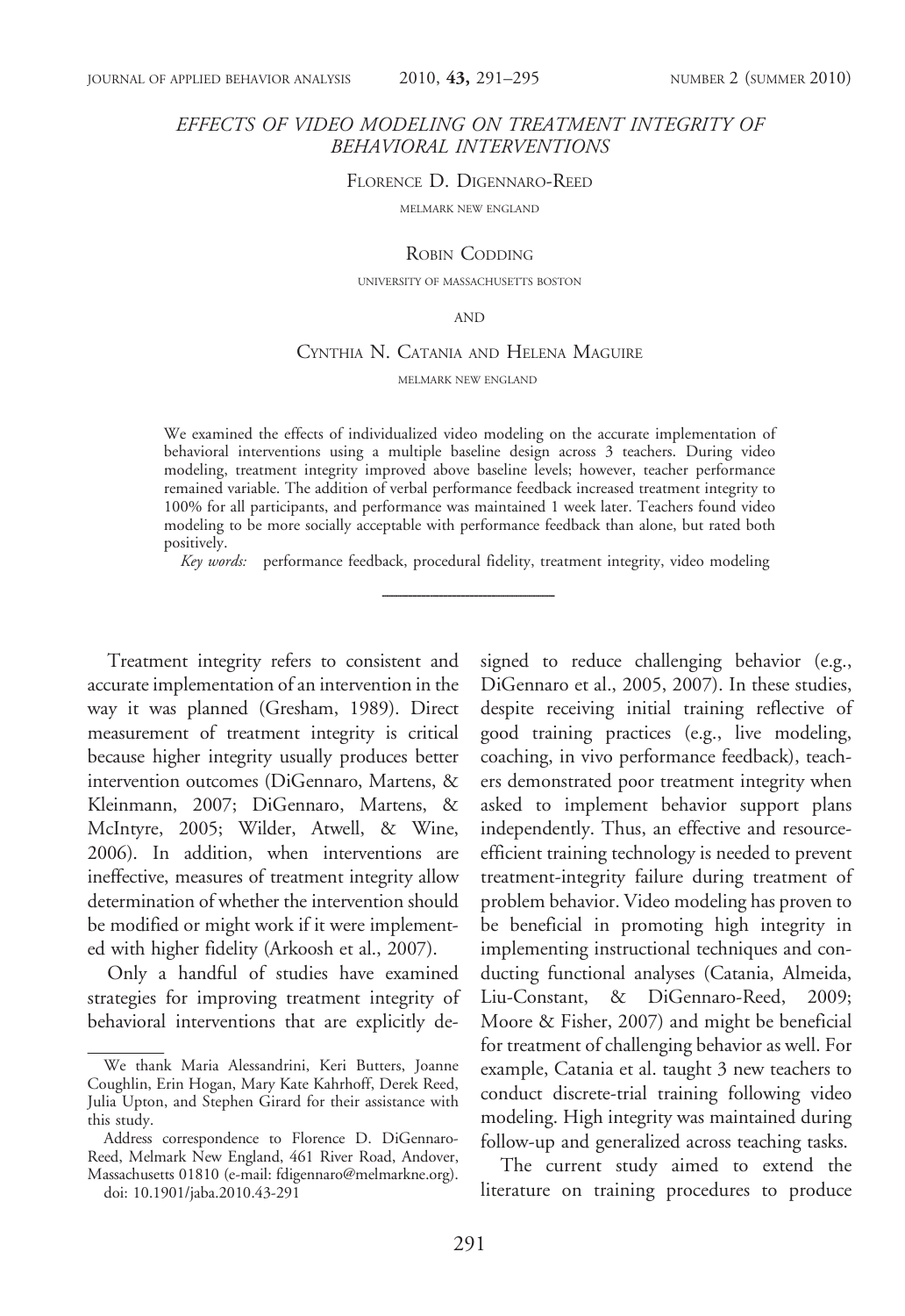## EFFECTS OF VIDEO MODELING ON TREATMENT INTEGRITY OF BEHAVIORAL INTERVENTIONS

FLORENCE D. DIGENNARO-REED

MELMARK NEW ENGLAND

ROBIN CODDING

UNIVERSITY OF MASSACHUSETTS BOSTON

AND

#### CYNTHIA N. CATANIA AND HELENA MAGUIRE MELMARK NEW ENGLAND

We examined the effects of individualized video modeling on the accurate implementation of behavioral interventions using a multiple baseline design across 3 teachers. During video modeling, treatment integrity improved above baseline levels; however, teacher performance remained variable. The addition of verbal performance feedback increased treatment integrity to 100% for all participants, and performance was maintained 1 week later. Teachers found video modeling to be more socially acceptable with performance feedback than alone, but rated both positively.

Key words: performance feedback, procedural fidelity, treatment integrity, video modeling

Treatment integrity refers to consistent and accurate implementation of an intervention in the way it was planned (Gresham, 1989). Direct measurement of treatment integrity is critical because higher integrity usually produces better intervention outcomes (DiGennaro, Martens, & Kleinmann, 2007; DiGennaro, Martens, & McIntyre, 2005; Wilder, Atwell, & Wine, 2006). In addition, when interventions are ineffective, measures of treatment integrity allow determination of whether the intervention should be modified or might work if it were implemented with higher fidelity (Arkoosh et al., 2007).

Only a handful of studies have examined strategies for improving treatment integrity of behavioral interventions that are explicitly de-

doi: 10.1901/jaba.2010.43-291

signed to reduce challenging behavior (e.g., DiGennaro et al., 2005, 2007). In these studies, despite receiving initial training reflective of good training practices (e.g., live modeling, coaching, in vivo performance feedback), teachers demonstrated poor treatment integrity when asked to implement behavior support plans independently. Thus, an effective and resourceefficient training technology is needed to prevent treatment-integrity failure during treatment of problem behavior. Video modeling has proven to be beneficial in promoting high integrity in implementing instructional techniques and conducting functional analyses (Catania, Almeida, Liu-Constant, & DiGennaro-Reed, 2009; Moore & Fisher, 2007) and might be beneficial for treatment of challenging behavior as well. For example, Catania et al. taught 3 new teachers to conduct discrete-trial training following video modeling. High integrity was maintained during follow-up and generalized across teaching tasks.

The current study aimed to extend the literature on training procedures to produce

We thank Maria Alessandrini, Keri Butters, Joanne Coughlin, Erin Hogan, Mary Kate Kahrhoff, Derek Reed, Julia Upton, and Stephen Girard for their assistance with this study.

Address correspondence to Florence D. DiGennaro-Reed, Melmark New England, 461 River Road, Andover, Massachusetts 01810 (e-mail: fdigennaro@melmarkne.org).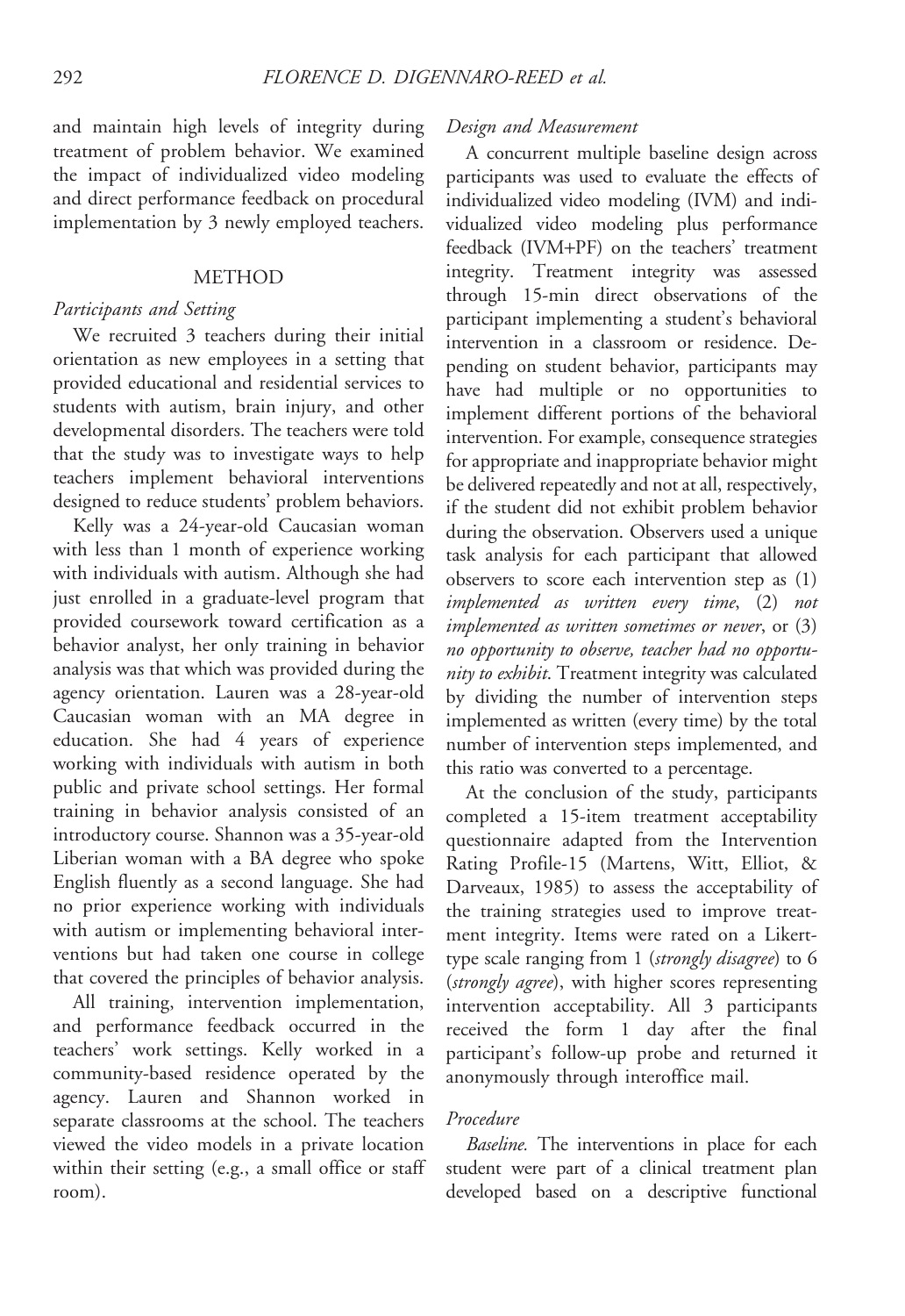and maintain high levels of integrity during treatment of problem behavior. We examined the impact of individualized video modeling and direct performance feedback on procedural implementation by 3 newly employed teachers.

### METHOD

#### Participants and Setting

We recruited 3 teachers during their initial orientation as new employees in a setting that provided educational and residential services to students with autism, brain injury, and other developmental disorders. The teachers were told that the study was to investigate ways to help teachers implement behavioral interventions designed to reduce students' problem behaviors.

Kelly was a 24-year-old Caucasian woman with less than 1 month of experience working with individuals with autism. Although she had just enrolled in a graduate-level program that provided coursework toward certification as a behavior analyst, her only training in behavior analysis was that which was provided during the agency orientation. Lauren was a 28-year-old Caucasian woman with an MA degree in education. She had 4 years of experience working with individuals with autism in both public and private school settings. Her formal training in behavior analysis consisted of an introductory course. Shannon was a 35-year-old Liberian woman with a BA degree who spoke English fluently as a second language. She had no prior experience working with individuals with autism or implementing behavioral interventions but had taken one course in college that covered the principles of behavior analysis.

All training, intervention implementation, and performance feedback occurred in the teachers' work settings. Kelly worked in a community-based residence operated by the agency. Lauren and Shannon worked in separate classrooms at the school. The teachers viewed the video models in a private location within their setting (e.g., a small office or staff room).

#### Design and Measurement

A concurrent multiple baseline design across participants was used to evaluate the effects of individualized video modeling (IVM) and individualized video modeling plus performance feedback (IVM+PF) on the teachers' treatment integrity. Treatment integrity was assessed through 15-min direct observations of the participant implementing a student's behavioral intervention in a classroom or residence. Depending on student behavior, participants may have had multiple or no opportunities to implement different portions of the behavioral intervention. For example, consequence strategies for appropriate and inappropriate behavior might be delivered repeatedly and not at all, respectively, if the student did not exhibit problem behavior during the observation. Observers used a unique task analysis for each participant that allowed observers to score each intervention step as (1) implemented as written every time, (2) not implemented as written sometimes or never, or (3) no opportunity to observe, teacher had no opportunity to exhibit. Treatment integrity was calculated by dividing the number of intervention steps implemented as written (every time) by the total number of intervention steps implemented, and this ratio was converted to a percentage.

At the conclusion of the study, participants completed a 15-item treatment acceptability questionnaire adapted from the Intervention Rating Profile-15 (Martens, Witt, Elliot, & Darveaux, 1985) to assess the acceptability of the training strategies used to improve treatment integrity. Items were rated on a Likerttype scale ranging from 1 (strongly disagree) to 6 (*strongly agree*), with higher scores representing intervention acceptability. All 3 participants received the form 1 day after the final participant's follow-up probe and returned it anonymously through interoffice mail.

#### Procedure

Baseline. The interventions in place for each student were part of a clinical treatment plan developed based on a descriptive functional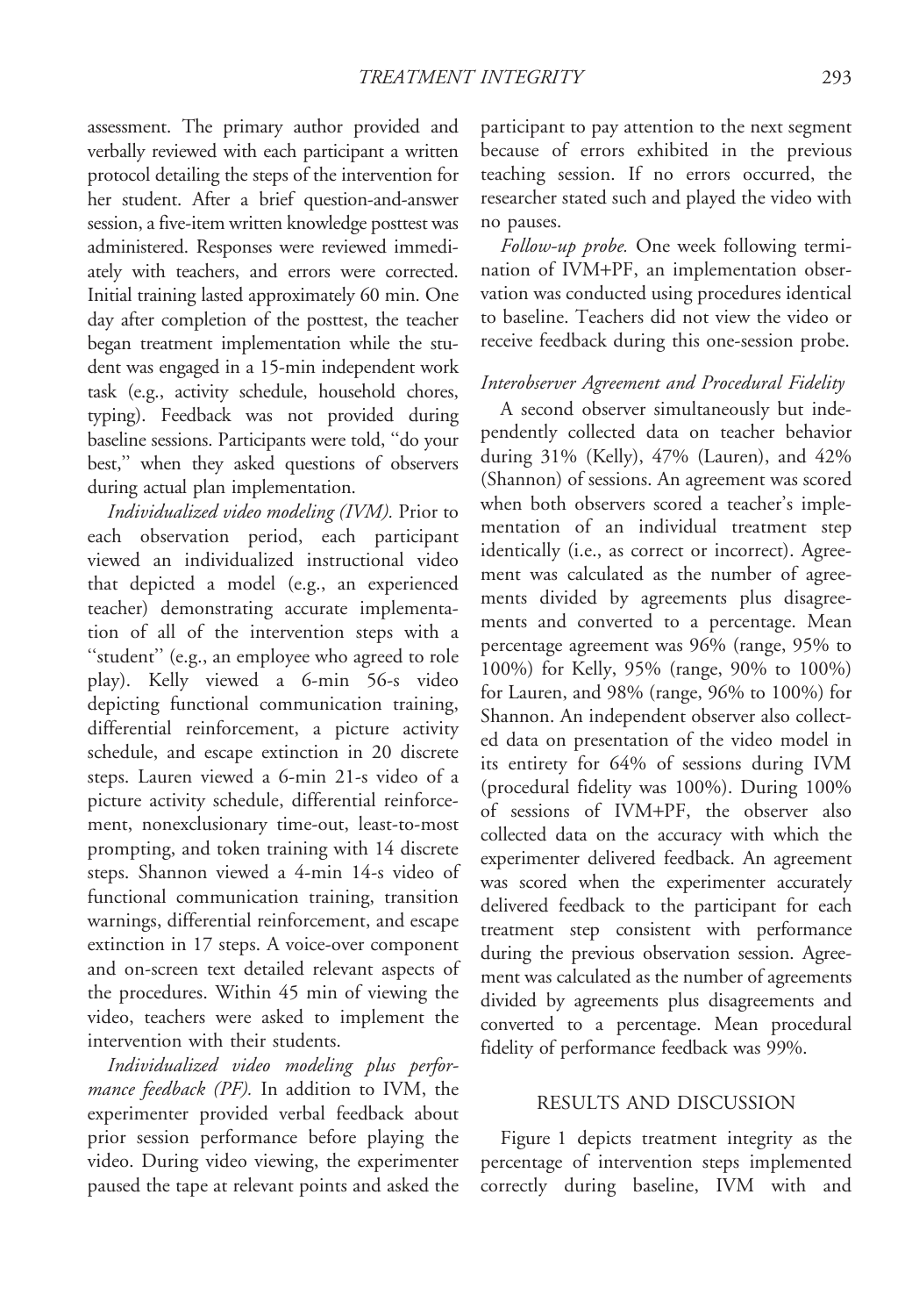assessment. The primary author provided and verbally reviewed with each participant a written protocol detailing the steps of the intervention for her student. After a brief question-and-answer session, a five-item written knowledge posttest was administered. Responses were reviewed immediately with teachers, and errors were corrected. Initial training lasted approximately 60 min. One day after completion of the posttest, the teacher began treatment implementation while the student was engaged in a 15-min independent work task (e.g., activity schedule, household chores, typing). Feedback was not provided during baseline sessions. Participants were told, ''do your best,'' when they asked questions of observers during actual plan implementation.

Individualized video modeling (IVM). Prior to each observation period, each participant viewed an individualized instructional video that depicted a model (e.g., an experienced teacher) demonstrating accurate implementation of all of the intervention steps with a "student" (e.g., an employee who agreed to role play). Kelly viewed a 6-min 56-s video depicting functional communication training, differential reinforcement, a picture activity schedule, and escape extinction in 20 discrete steps. Lauren viewed a 6-min 21-s video of a picture activity schedule, differential reinforcement, nonexclusionary time-out, least-to-most prompting, and token training with 14 discrete steps. Shannon viewed a 4-min 14-s video of functional communication training, transition warnings, differential reinforcement, and escape extinction in 17 steps. A voice-over component and on-screen text detailed relevant aspects of the procedures. Within 45 min of viewing the video, teachers were asked to implement the intervention with their students.

Individualized video modeling plus performance feedback (PF). In addition to IVM, the experimenter provided verbal feedback about prior session performance before playing the video. During video viewing, the experimenter paused the tape at relevant points and asked the

participant to pay attention to the next segment because of errors exhibited in the previous teaching session. If no errors occurred, the researcher stated such and played the video with no pauses.

Follow-up probe. One week following termination of IVM+PF, an implementation observation was conducted using procedures identical to baseline. Teachers did not view the video or receive feedback during this one-session probe.

# Interobserver Agreement and Procedural Fidelity

A second observer simultaneously but independently collected data on teacher behavior during 31% (Kelly), 47% (Lauren), and 42% (Shannon) of sessions. An agreement was scored when both observers scored a teacher's implementation of an individual treatment step identically (i.e., as correct or incorrect). Agreement was calculated as the number of agreements divided by agreements plus disagreements and converted to a percentage. Mean percentage agreement was 96% (range, 95% to 100%) for Kelly, 95% (range, 90% to 100%) for Lauren, and 98% (range, 96% to 100%) for Shannon. An independent observer also collected data on presentation of the video model in its entirety for 64% of sessions during IVM (procedural fidelity was 100%). During 100% of sessions of IVM+PF, the observer also collected data on the accuracy with which the experimenter delivered feedback. An agreement was scored when the experimenter accurately delivered feedback to the participant for each treatment step consistent with performance during the previous observation session. Agreement was calculated as the number of agreements divided by agreements plus disagreements and converted to a percentage. Mean procedural fidelity of performance feedback was 99%.

#### RESULTS AND DISCUSSION

Figure 1 depicts treatment integrity as the percentage of intervention steps implemented correctly during baseline, IVM with and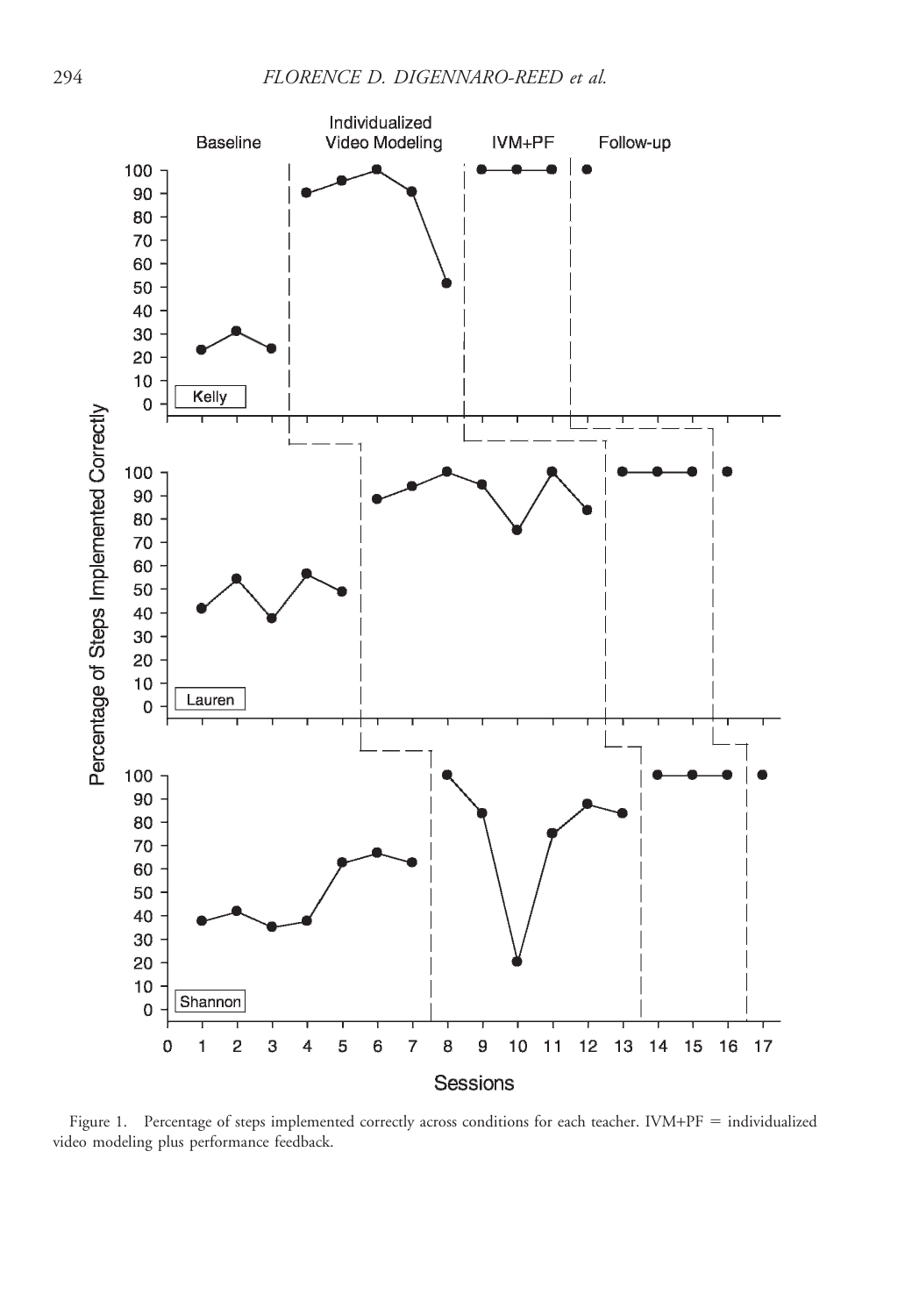

Figure 1. Percentage of steps implemented correctly across conditions for each teacher. IVM+PF = individualized video modeling plus performance feedback.